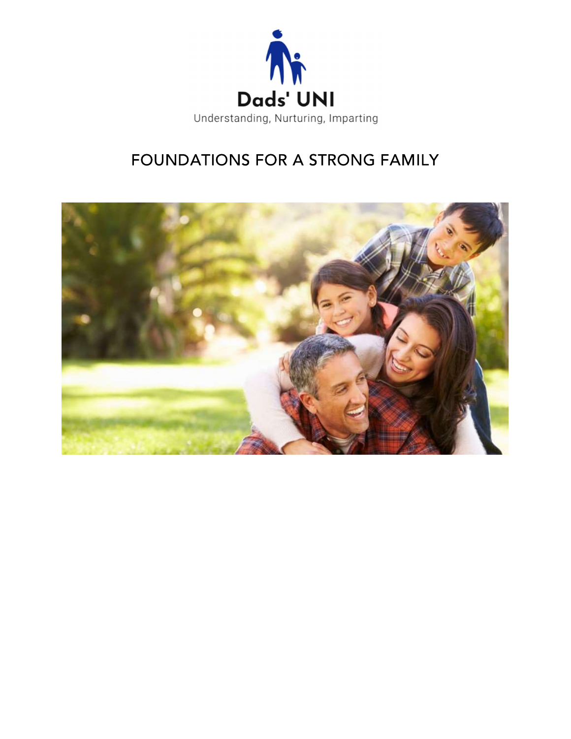

# FOUNDATIONS FOR A STRONG FAMILY

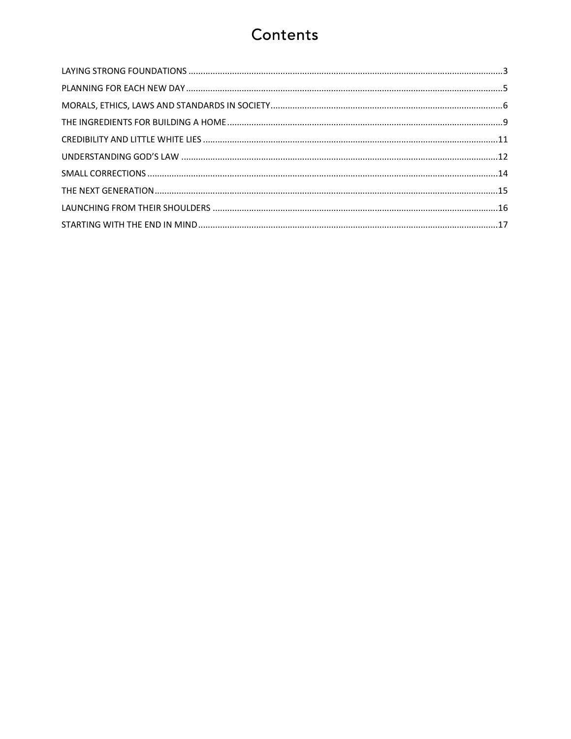### Contents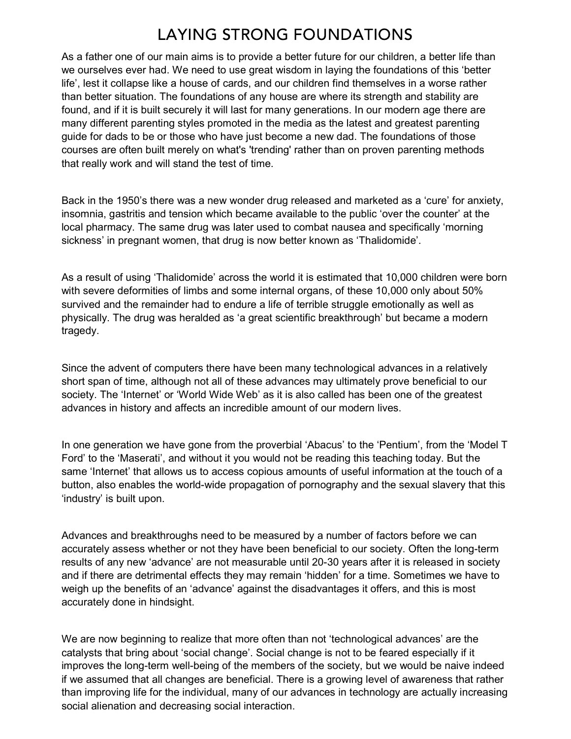### **LAYING STRONG FOUNDATIONS**

As a father one of our main aims is to provide a better future for our children, a better life than we ourselves ever had. We need to use great wisdom in laying the foundations of this 'better life', lest it collapse like a house of cards, and our children find themselves in a worse rather than better situation. The foundations of any house are where its strength and stability are found, and if it is built securely it will last for many generations. In our modern age there are many different parenting styles promoted in the media as the latest and greatest parenting guide for dads to be or those who have just become a new dad. The foundations of those courses are often built merely on what's 'trending' rather than on proven parenting methods that really work and will stand the test of time.

Back in the 1950's there was a new wonder drug released and marketed as a 'cure' for anxiety, insomnia, gastritis and tension which became available to the public 'over the counter' at the local pharmacy. The same drug was later used to combat nausea and specifically 'morning sickness' in pregnant women, that drug is now better known as 'Thalidomide'.

As a result of using 'Thalidomide' across the world it is estimated that 10,000 children were born with severe deformities of limbs and some internal organs, of these 10,000 only about 50% survived and the remainder had to endure a life of terrible struggle emotionally as well as physically. The drug was heralded as 'a great scientific breakthrough' but became a modern tragedy.

Since the advent of computers there have been many technological advances in a relatively short span of time, although not all of these advances may ultimately prove beneficial to our society. The 'Internet' or 'World Wide Web' as it is also called has been one of the greatest advances in history and affects an incredible amount of our modern lives.

In one generation we have gone from the proverbial 'Abacus' to the 'Pentium', from the 'Model T Ford' to the 'Maserati', and without it you would not be reading this teaching today. But the same 'Internet' that allows us to access copious amounts of useful information at the touch of a button, also enables the world-wide propagation of pornography and the sexual slavery that this 'industry' is built upon.

Advances and breakthroughs need to be measured by a number of factors before we can accurately assess whether or not they have been beneficial to our society. Often the long-term results of any new 'advance' are not measurable until 20-30 years after it is released in society and if there are detrimental effects they may remain 'hidden' for a time. Sometimes we have to weigh up the benefits of an 'advance' against the disadvantages it offers, and this is most accurately done in hindsight.

We are now beginning to realize that more often than not 'technological advances' are the catalysts that bring about 'social change'. Social change is not to be feared especially if it improves the long-term well-being of the members of the society, but we would be naive indeed if we assumed that all changes are beneficial. There is a growing level of awareness that rather than improving life for the individual, many of our advances in technology are actually increasing social alienation and decreasing social interaction.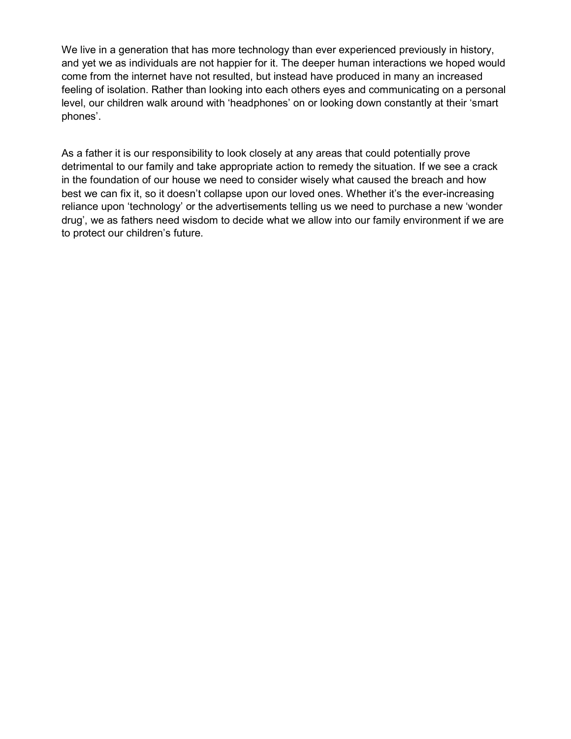We live in a generation that has more technology than ever experienced previously in history, and yet we as individuals are not happier for it. The deeper human interactions we hoped would come from the internet have not resulted, but instead have produced in many an increased feeling of isolation. Rather than looking into each others eyes and communicating on a personal level, our children walk around with 'headphones' on or looking down constantly at their 'smart phones'.

As a father it is our responsibility to look closely at any areas that could potentially prove detrimental to our family and take appropriate action to remedy the situation. If we see a crack in the foundation of our house we need to consider wisely what caused the breach and how best we can fix it, so it doesn't collapse upon our loved ones. Whether it's the ever-increasing reliance upon 'technology' or the advertisements telling us we need to purchase a new 'wonder drug', we as fathers need wisdom to decide what we allow into our family environment if we are to protect our children's future.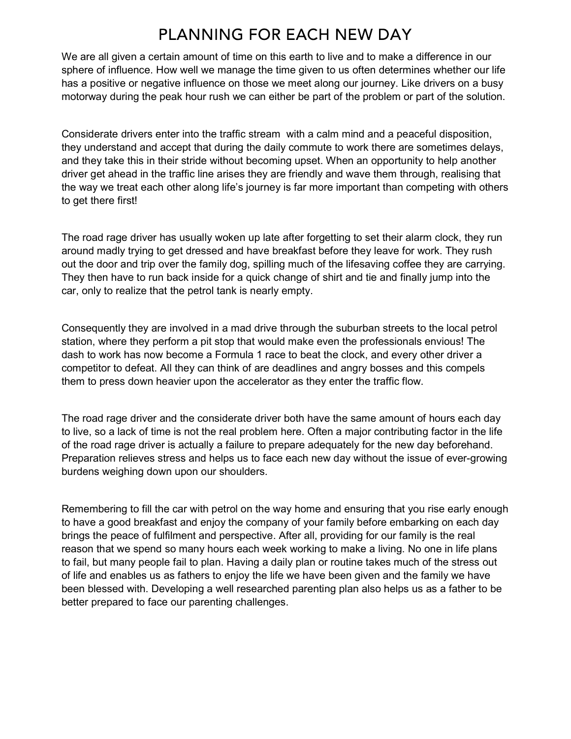### PLANNING FOR EACH NEW DAY

We are all given a certain amount of time on this earth to live and to make a difference in our sphere of influence. How well we manage the time given to us often determines whether our life has a positive or negative influence on those we meet along our journey. Like drivers on a busy motorway during the peak hour rush we can either be part of the problem or part of the solution.

Considerate drivers enter into the traffic stream with a calm mind and a peaceful disposition, they understand and accept that during the daily commute to work there are sometimes delays, and they take this in their stride without becoming upset. When an opportunity to help another driver get ahead in the traffic line arises they are friendly and wave them through, realising that the way we treat each other along life's journey is far more important than competing with others to get there first!

The road rage driver has usually woken up late after forgetting to set their alarm clock, they run around madly trying to get dressed and have breakfast before they leave for work. They rush out the door and trip over the family dog, spilling much of the lifesaving coffee they are carrying. They then have to run back inside for a quick change of shirt and tie and finally jump into the car, only to realize that the petrol tank is nearly empty.

Consequently they are involved in a mad drive through the suburban streets to the local petrol station, where they perform a pit stop that would make even the professionals envious! The dash to work has now become a Formula 1 race to beat the clock, and every other driver a competitor to defeat. All they can think of are deadlines and angry bosses and this compels them to press down heavier upon the accelerator as they enter the traffic flow.

The road rage driver and the considerate driver both have the same amount of hours each day to live, so a lack of time is not the real problem here. Often a major contributing factor in the life of the road rage driver is actually a failure to prepare adequately for the new day beforehand. Preparation relieves stress and helps us to face each new day without the issue of ever-growing burdens weighing down upon our shoulders.

Remembering to fill the car with petrol on the way home and ensuring that you rise early enough to have a good breakfast and enjoy the company of your family before embarking on each day brings the peace of fulfilment and perspective. After all, providing for our family is the real reason that we spend so many hours each week working to make a living. No one in life plans to fail, but many people fail to plan. Having a daily plan or routine takes much of the stress out of life and enables us as fathers to enjoy the life we have been given and the family we have been blessed with. Developing a well researched parenting plan also helps us as a father to be better prepared to face our parenting challenges.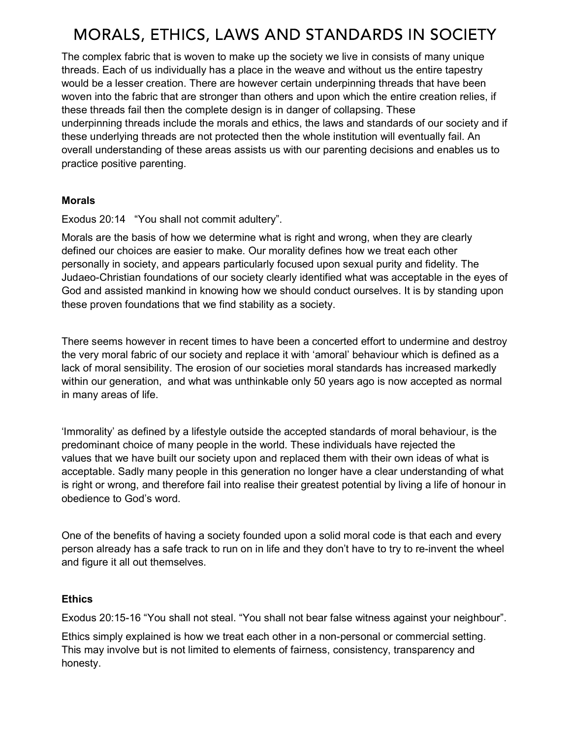## MORALS, ETHICS, LAWS AND STANDARDS IN SOCIETY

The complex fabric that is woven to make up the society we live in consists of many unique threads. Each of us individually has a place in the weave and without us the entire tapestry would be a lesser creation. There are however certain underpinning threads that have been woven into the fabric that are stronger than others and upon which the entire creation relies, if these threads fail then the complete design is in danger of collapsing. These underpinning threads include the morals and ethics, the laws and standards of our society and if these underlying threads are not protected then the whole institution will eventually fail. An overall understanding of these areas assists us with our parenting decisions and enables us to practice positive parenting.

#### Morals

Exodus 20:14 "You shall not commit adultery".

Morals are the basis of how we determine what is right and wrong, when they are clearly defined our choices are easier to make. Our morality defines how we treat each other personally in society, and appears particularly focused upon sexual purity and fidelity. The Judaeo-Christian foundations of our society clearly identified what was acceptable in the eyes of God and assisted mankind in knowing how we should conduct ourselves. It is by standing upon these proven foundations that we find stability as a society.

There seems however in recent times to have been a concerted effort to undermine and destroy the very moral fabric of our society and replace it with 'amoral' behaviour which is defined as a lack of moral sensibility. The erosion of our societies moral standards has increased markedly within our generation, and what was unthinkable only 50 years ago is now accepted as normal in many areas of life.

'Immorality' as defined by a lifestyle outside the accepted standards of moral behaviour, is the predominant choice of many people in the world. These individuals have rejected the values that we have built our society upon and replaced them with their own ideas of what is acceptable. Sadly many people in this generation no longer have a clear understanding of what is right or wrong, and therefore fail into realise their greatest potential by living a life of honour in obedience to God's word.

One of the benefits of having a society founded upon a solid moral code is that each and every person already has a safe track to run on in life and they don't have to try to re-invent the wheel and figure it all out themselves.

#### Ethics

Exodus 20:15-16 "You shall not steal. "You shall not bear false witness against your neighbour".

Ethics simply explained is how we treat each other in a non-personal or commercial setting. This may involve but is not limited to elements of fairness, consistency, transparency and honesty.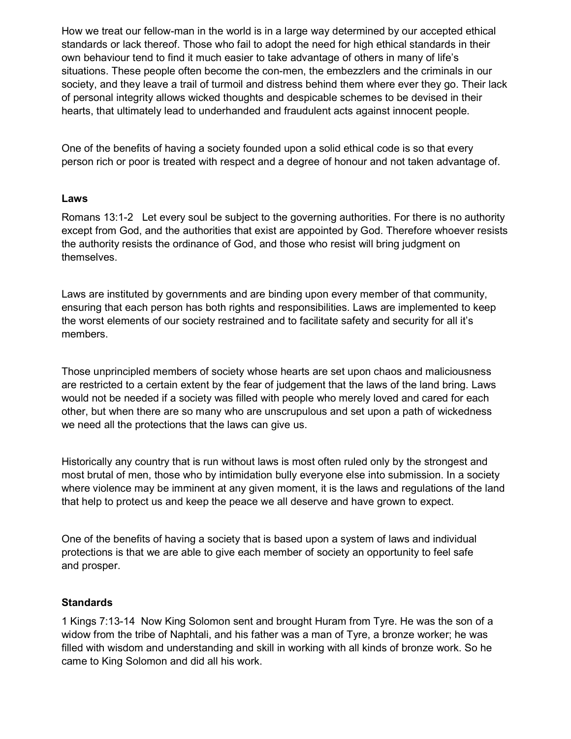How we treat our fellow-man in the world is in a large way determined by our accepted ethical standards or lack thereof. Those who fail to adopt the need for high ethical standards in their own behaviour tend to find it much easier to take advantage of others in many of life's situations. These people often become the con-men, the embezzlers and the criminals in our society, and they leave a trail of turmoil and distress behind them where ever they go. Their lack of personal integrity allows wicked thoughts and despicable schemes to be devised in their hearts, that ultimately lead to underhanded and fraudulent acts against innocent people.

One of the benefits of having a society founded upon a solid ethical code is so that every person rich or poor is treated with respect and a degree of honour and not taken advantage of.

#### Laws

Romans 13:1-2 Let every soul be subject to the governing authorities. For there is no authority except from God, and the authorities that exist are appointed by God. Therefore whoever resists the authority resists the ordinance of God, and those who resist will bring judgment on themselves.

Laws are instituted by governments and are binding upon every member of that community, ensuring that each person has both rights and responsibilities. Laws are implemented to keep the worst elements of our society restrained and to facilitate safety and security for all it's members.

Those unprincipled members of society whose hearts are set upon chaos and maliciousness are restricted to a certain extent by the fear of judgement that the laws of the land bring. Laws would not be needed if a society was filled with people who merely loved and cared for each other, but when there are so many who are unscrupulous and set upon a path of wickedness we need all the protections that the laws can give us.

Historically any country that is run without laws is most often ruled only by the strongest and most brutal of men, those who by intimidation bully everyone else into submission. In a society where violence may be imminent at any given moment, it is the laws and regulations of the land that help to protect us and keep the peace we all deserve and have grown to expect.

One of the benefits of having a society that is based upon a system of laws and individual protections is that we are able to give each member of society an opportunity to feel safe and prosper.

#### **Standards**

1 Kings 7:13-14 Now King Solomon sent and brought Huram from Tyre. He was the son of a widow from the tribe of Naphtali, and his father was a man of Tyre, a bronze worker; he was filled with wisdom and understanding and skill in working with all kinds of bronze work. So he came to King Solomon and did all his work.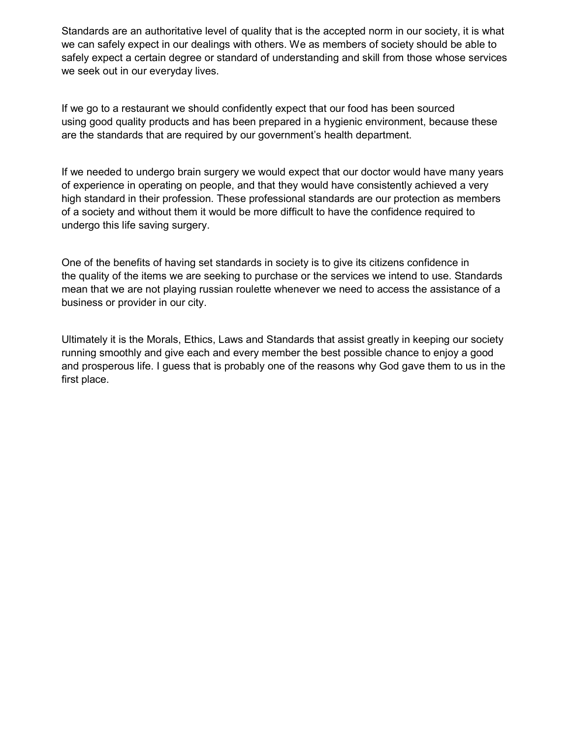Standards are an authoritative level of quality that is the accepted norm in our society, it is what we can safely expect in our dealings with others. We as members of society should be able to safely expect a certain degree or standard of understanding and skill from those whose services we seek out in our everyday lives.

If we go to a restaurant we should confidently expect that our food has been sourced using good quality products and has been prepared in a hygienic environment, because these are the standards that are required by our government's health department.

If we needed to undergo brain surgery we would expect that our doctor would have many years of experience in operating on people, and that they would have consistently achieved a very high standard in their profession. These professional standards are our protection as members of a society and without them it would be more difficult to have the confidence required to undergo this life saving surgery.

One of the benefits of having set standards in society is to give its citizens confidence in the quality of the items we are seeking to purchase or the services we intend to use. Standards mean that we are not playing russian roulette whenever we need to access the assistance of a business or provider in our city.

Ultimately it is the Morals, Ethics, Laws and Standards that assist greatly in keeping our society running smoothly and give each and every member the best possible chance to enjoy a good and prosperous life. I guess that is probably one of the reasons why God gave them to us in the first place.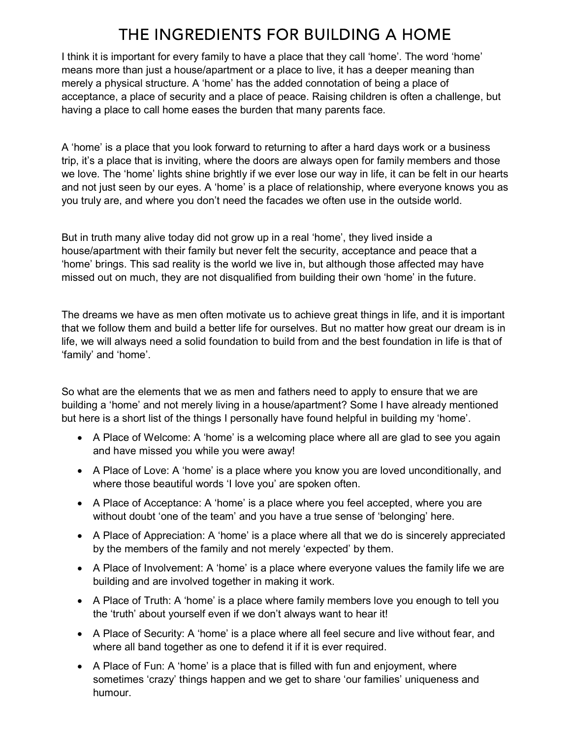## THE INGREDIENTS FOR BUILDING A HOME

I think it is important for every family to have a place that they call 'home'. The word 'home' means more than just a house/apartment or a place to live, it has a deeper meaning than merely a physical structure. A 'home' has the added connotation of being a place of acceptance, a place of security and a place of peace. Raising children is often a challenge, but having a place to call home eases the burden that many parents face.

A 'home' is a place that you look forward to returning to after a hard days work or a business trip, it's a place that is inviting, where the doors are always open for family members and those we love. The 'home' lights shine brightly if we ever lose our way in life, it can be felt in our hearts and not just seen by our eyes. A 'home' is a place of relationship, where everyone knows you as you truly are, and where you don't need the facades we often use in the outside world.

But in truth many alive today did not grow up in a real 'home', they lived inside a house/apartment with their family but never felt the security, acceptance and peace that a 'home' brings. This sad reality is the world we live in, but although those affected may have missed out on much, they are not disqualified from building their own 'home' in the future.

The dreams we have as men often motivate us to achieve great things in life, and it is important that we follow them and build a better life for ourselves. But no matter how great our dream is in life, we will always need a solid foundation to build from and the best foundation in life is that of 'family' and 'home'.

So what are the elements that we as men and fathers need to apply to ensure that we are building a 'home' and not merely living in a house/apartment? Some I have already mentioned but here is a short list of the things I personally have found helpful in building my 'home'.

- A Place of Welcome: A 'home' is a welcoming place where all are glad to see you again and have missed you while you were away!
- A Place of Love: A 'home' is a place where you know you are loved unconditionally, and where those beautiful words 'I love you' are spoken often.
- A Place of Acceptance: A 'home' is a place where you feel accepted, where you are without doubt 'one of the team' and you have a true sense of 'belonging' here.
- A Place of Appreciation: A 'home' is a place where all that we do is sincerely appreciated by the members of the family and not merely 'expected' by them.
- A Place of Involvement: A 'home' is a place where everyone values the family life we are building and are involved together in making it work.
- A Place of Truth: A 'home' is a place where family members love you enough to tell you the 'truth' about yourself even if we don't always want to hear it!
- A Place of Security: A 'home' is a place where all feel secure and live without fear, and where all band together as one to defend it if it is ever required.
- A Place of Fun: A 'home' is a place that is filled with fun and enjoyment, where sometimes 'crazy' things happen and we get to share 'our families' uniqueness and humour.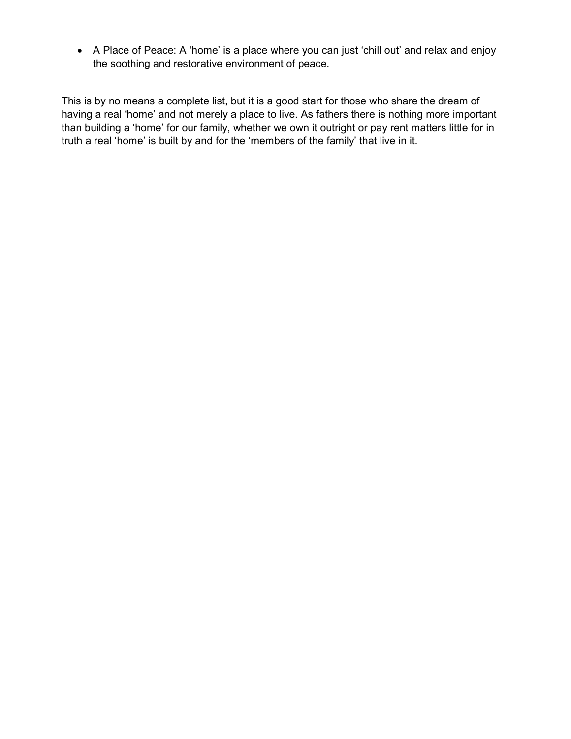A Place of Peace: A 'home' is a place where you can just 'chill out' and relax and enjoy the soothing and restorative environment of peace.

This is by no means a complete list, but it is a good start for those who share the dream of having a real 'home' and not merely a place to live. As fathers there is nothing more important than building a 'home' for our family, whether we own it outright or pay rent matters little for in truth a real 'home' is built by and for the 'members of the family' that live in it.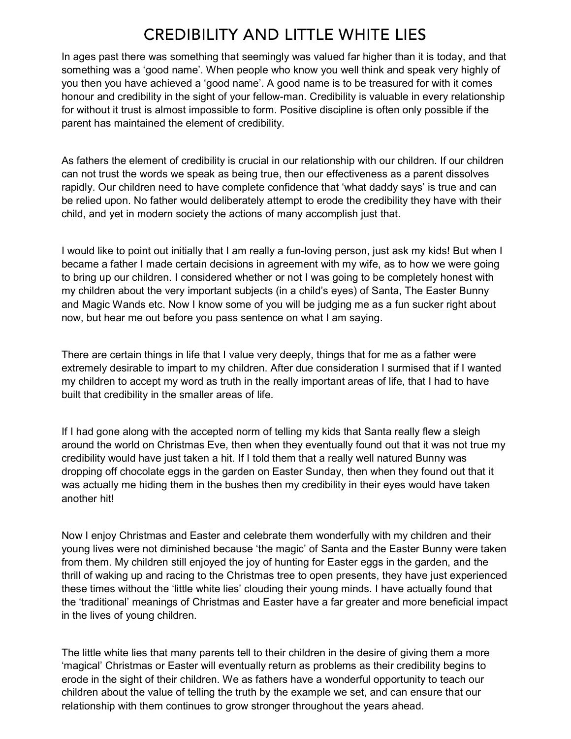### **CREDIBILITY AND LITTLE WHITE LIES**

In ages past there was something that seemingly was valued far higher than it is today, and that something was a 'good name'. When people who know you well think and speak very highly of you then you have achieved a 'good name'. A good name is to be treasured for with it comes honour and credibility in the sight of your fellow-man. Credibility is valuable in every relationship for without it trust is almost impossible to form. Positive discipline is often only possible if the parent has maintained the element of credibility.

As fathers the element of credibility is crucial in our relationship with our children. If our children can not trust the words we speak as being true, then our effectiveness as a parent dissolves rapidly. Our children need to have complete confidence that 'what daddy says' is true and can be relied upon. No father would deliberately attempt to erode the credibility they have with their child, and yet in modern society the actions of many accomplish just that.

I would like to point out initially that I am really a fun-loving person, just ask my kids! But when I became a father I made certain decisions in agreement with my wife, as to how we were going to bring up our children. I considered whether or not I was going to be completely honest with my children about the very important subjects (in a child's eyes) of Santa, The Easter Bunny and Magic Wands etc. Now I know some of you will be judging me as a fun sucker right about now, but hear me out before you pass sentence on what I am saying.

There are certain things in life that I value very deeply, things that for me as a father were extremely desirable to impart to my children. After due consideration I surmised that if I wanted my children to accept my word as truth in the really important areas of life, that I had to have built that credibility in the smaller areas of life.

If I had gone along with the accepted norm of telling my kids that Santa really flew a sleigh around the world on Christmas Eve, then when they eventually found out that it was not true my credibility would have just taken a hit. If I told them that a really well natured Bunny was dropping off chocolate eggs in the garden on Easter Sunday, then when they found out that it was actually me hiding them in the bushes then my credibility in their eyes would have taken another hit!

Now I enjoy Christmas and Easter and celebrate them wonderfully with my children and their young lives were not diminished because 'the magic' of Santa and the Easter Bunny were taken from them. My children still enjoyed the joy of hunting for Easter eggs in the garden, and the thrill of waking up and racing to the Christmas tree to open presents, they have just experienced these times without the 'little white lies' clouding their young minds. I have actually found that the 'traditional' meanings of Christmas and Easter have a far greater and more beneficial impact in the lives of young children.

The little white lies that many parents tell to their children in the desire of giving them a more 'magical' Christmas or Easter will eventually return as problems as their credibility begins to erode in the sight of their children. We as fathers have a wonderful opportunity to teach our children about the value of telling the truth by the example we set, and can ensure that our relationship with them continues to grow stronger throughout the years ahead.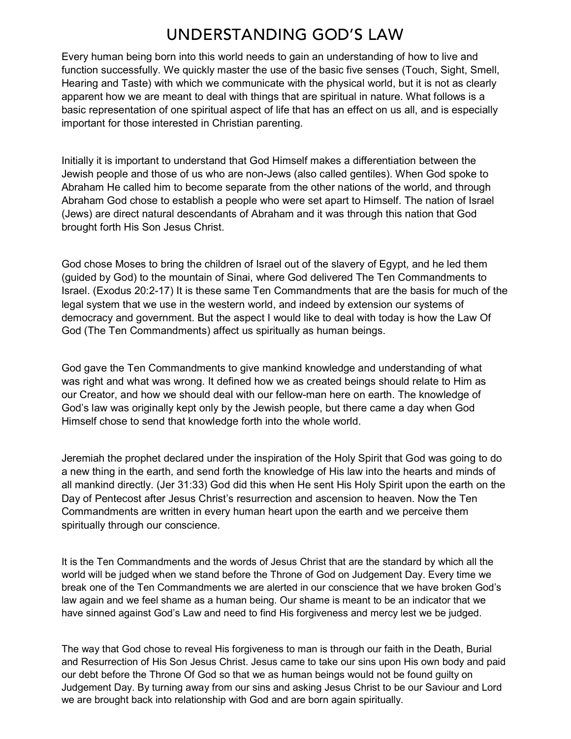### UNDERSTANDING GOD'S LAW

Every human being born into this world needs to gain an understanding of how to live and function successfully. We quickly master the use of the basic five senses (Touch, Sight, Smell, Hearing and Taste) with which we communicate with the physical world, but it is not as clearly apparent how we are meant to deal with things that are spiritual in nature. What follows is a basic representation of one spiritual aspect of life that has an effect on us all, and is especially important for those interested in Christian parenting.

Initially it is important to understand that God Himself makes a differentiation between the Jewish people and those of us who are non-Jews (also called gentiles). When God spoke to Abraham He called him to become separate from the other nations of the world, and through Abraham God chose to establish a people who were set apart to Himself. The nation of Israel (Jews) are direct natural descendants of Abraham and it was through this nation that God brought forth His Son Jesus Christ.

God chose Moses to bring the children of Israel out of the slavery of Egypt, and he led them (guided by God) to the mountain of Sinai, where God delivered The Ten Commandments to Israel. (Exodus 20:2-17) It is these same Ten Commandments that are the basis for much of the legal system that we use in the western world, and indeed by extension our systems of democracy and government. But the aspect I would like to deal with today is how the Law Of God (The Ten Commandments) affect us spiritually as human beings.

God gave the Ten Commandments to give mankind knowledge and understanding of what was right and what was wrong. It defined how we as created beings should relate to Him as our Creator, and how we should deal with our fellow-man here on earth. The knowledge of God's law was originally kept only by the Jewish people, but there came a day when God Himself chose to send that knowledge forth into the whole world.

Jeremiah the prophet declared under the inspiration of the Holy Spirit that God was going to do a new thing in the earth, and send forth the knowledge of His law into the hearts and minds of all mankind directly. (Jer 31:33) God did this when He sent His Holy Spirit upon the earth on the Day of Pentecost after Jesus Christ's resurrection and ascension to heaven. Now the Ten Commandments are written in every human heart upon the earth and we perceive them spiritually through our conscience.

It is the Ten Commandments and the words of Jesus Christ that are the standard by which all the world will be judged when we stand before the Throne of God on Judgement Day. Every time we break one of the Ten Commandments we are alerted in our conscience that we have broken God's law again and we feel shame as a human being. Our shame is meant to be an indicator that we have sinned against God's Law and need to find His forgiveness and mercy lest we be judged.

The way that God chose to reveal His forgiveness to man is through our faith in the Death, Burial and Resurrection of His Son Jesus Christ. Jesus came to take our sins upon His own body and paid our debt before the Throne Of God so that we as human beings would not be found guilty on Judgement Day. By turning away from our sins and asking Jesus Christ to be our Saviour and Lord we are brought back into relationship with God and are born again spiritually.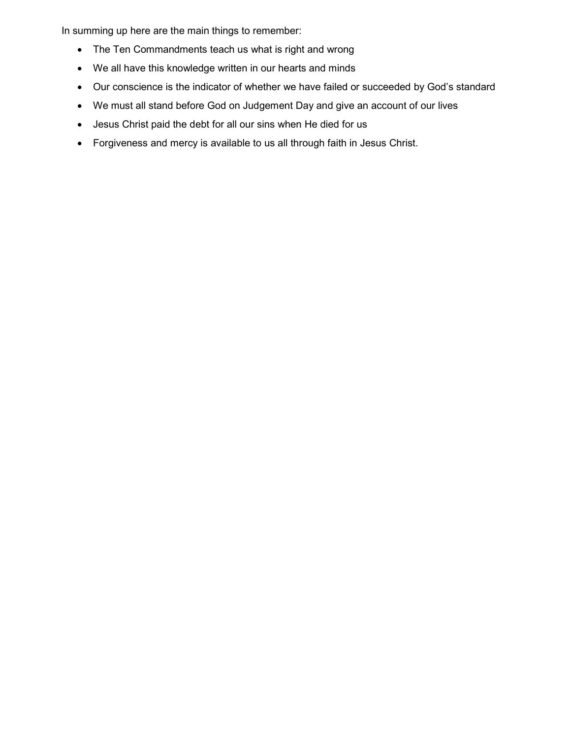In summing up here are the main things to remember:

- The Ten Commandments teach us what is right and wrong
- We all have this knowledge written in our hearts and minds
- Our conscience is the indicator of whether we have failed or succeeded by God's standard
- We must all stand before God on Judgement Day and give an account of our lives
- Jesus Christ paid the debt for all our sins when He died for us
- Forgiveness and mercy is available to us all through faith in Jesus Christ.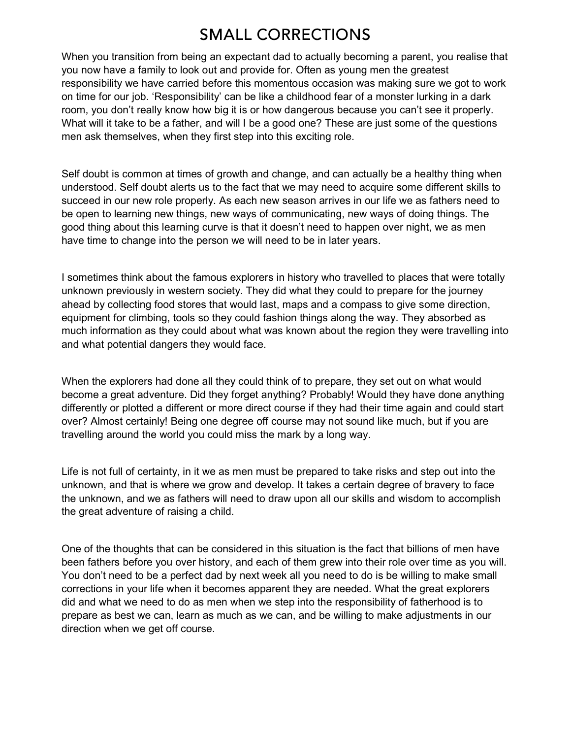### **SMALL CORRECTIONS**

When you transition from being an expectant dad to actually becoming a parent, you realise that you now have a family to look out and provide for. Often as young men the greatest responsibility we have carried before this momentous occasion was making sure we got to work on time for our job. 'Responsibility' can be like a childhood fear of a monster lurking in a dark room, you don't really know how big it is or how dangerous because you can't see it properly. What will it take to be a father, and will I be a good one? These are just some of the questions men ask themselves, when they first step into this exciting role.

Self doubt is common at times of growth and change, and can actually be a healthy thing when understood. Self doubt alerts us to the fact that we may need to acquire some different skills to succeed in our new role properly. As each new season arrives in our life we as fathers need to be open to learning new things, new ways of communicating, new ways of doing things. The good thing about this learning curve is that it doesn't need to happen over night, we as men have time to change into the person we will need to be in later years.

I sometimes think about the famous explorers in history who travelled to places that were totally unknown previously in western society. They did what they could to prepare for the journey ahead by collecting food stores that would last, maps and a compass to give some direction, equipment for climbing, tools so they could fashion things along the way. They absorbed as much information as they could about what was known about the region they were travelling into and what potential dangers they would face.

When the explorers had done all they could think of to prepare, they set out on what would become a great adventure. Did they forget anything? Probably! Would they have done anything differently or plotted a different or more direct course if they had their time again and could start over? Almost certainly! Being one degree off course may not sound like much, but if you are travelling around the world you could miss the mark by a long way.

Life is not full of certainty, in it we as men must be prepared to take risks and step out into the unknown, and that is where we grow and develop. It takes a certain degree of bravery to face the unknown, and we as fathers will need to draw upon all our skills and wisdom to accomplish the great adventure of raising a child.

One of the thoughts that can be considered in this situation is the fact that billions of men have been fathers before you over history, and each of them grew into their role over time as you will. You don't need to be a perfect dad by next week all you need to do is be willing to make small corrections in your life when it becomes apparent they are needed. What the great explorers did and what we need to do as men when we step into the responsibility of fatherhood is to prepare as best we can, learn as much as we can, and be willing to make adjustments in our direction when we get off course.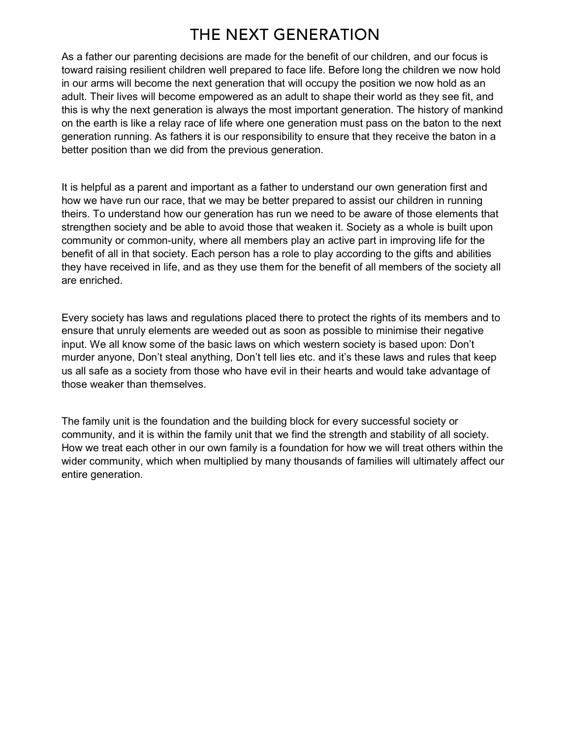### THE NEXT GENERATION

As a father our parenting decisions are made for the benefit of our children, and our focus is toward raising resilient children well prepared to face life. Before long the children we now hold in our arms will become the next generation that will occupy the position we now hold as an adult. Their lives will become empowered as an adult to shape their world as they see fit, and this is why the next generation is always the most important generation. The history of mankind on the earth is like a relay race of life where one generation must pass on the baton to the next generation running. As fathers it is our responsibility to ensure that they receive the baton in a better position than we did from the previous generation.

It is helpful as a parent and important as a father to understand our own generation first and how we have run our race, that we may be better prepared to assist our children in running theirs. To understand how our generation has run we need to be aware of those elements that strengthen society and be able to avoid those that weaken it. Society as a whole is built upon community or common-unity, where all members play an active part in improving life for the benefit of all in that society. Each person has a role to play according to the gifts and abilities they have received in life, and as they use them for the benefit of all members of the society all are enriched.

Every society has laws and regulations placed there to protect the rights of its members and to ensure that unruly elements are weeded out as soon as possible to minimise their negative input. We all know some of the basic laws on which western society is based upon: Don't murder anyone, Don't steal anything, Don't tell lies etc. and it's these laws and rules that keep us all safe as a society from those who have evil in their hearts and would take advantage of those weaker than themselves.

The family unit is the foundation and the building block for every successful society or community, and it is within the family unit that we find the strength and stability of all society. How we treat each other in our own family is a foundation for how we will treat others within the wider community, which when multiplied by many thousands of families will ultimately affect our entire generation.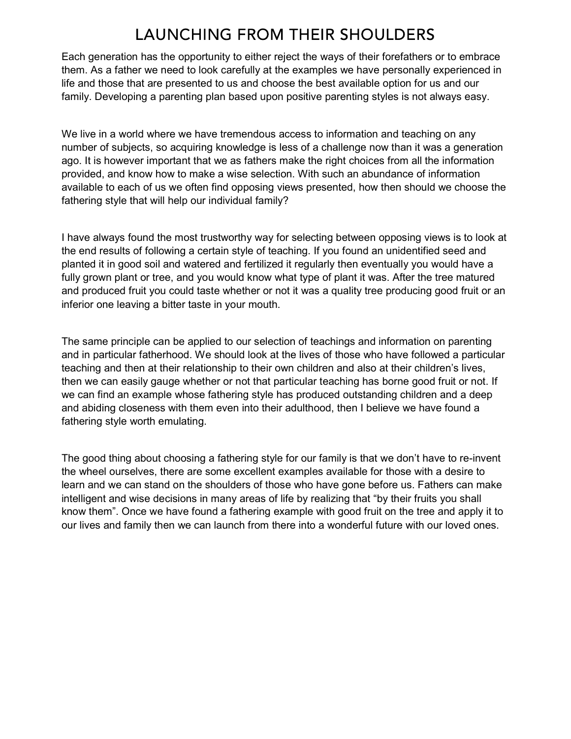### **LAUNCHING FROM THEIR SHOULDERS**

Each generation has the opportunity to either reject the ways of their forefathers or to embrace them. As a father we need to look carefully at the examples we have personally experienced in life and those that are presented to us and choose the best available option for us and our family. Developing a parenting plan based upon positive parenting styles is not always easy.

We live in a world where we have tremendous access to information and teaching on any number of subjects, so acquiring knowledge is less of a challenge now than it was a generation ago. It is however important that we as fathers make the right choices from all the information provided, and know how to make a wise selection. With such an abundance of information available to each of us we often find opposing views presented, how then should we choose the fathering style that will help our individual family?

I have always found the most trustworthy way for selecting between opposing views is to look at the end results of following a certain style of teaching. If you found an unidentified seed and planted it in good soil and watered and fertilized it regularly then eventually you would have a fully grown plant or tree, and you would know what type of plant it was. After the tree matured and produced fruit you could taste whether or not it was a quality tree producing good fruit or an inferior one leaving a bitter taste in your mouth.

The same principle can be applied to our selection of teachings and information on parenting and in particular fatherhood. We should look at the lives of those who have followed a particular teaching and then at their relationship to their own children and also at their children's lives, then we can easily gauge whether or not that particular teaching has borne good fruit or not. If we can find an example whose fathering style has produced outstanding children and a deep and abiding closeness with them even into their adulthood, then I believe we have found a fathering style worth emulating.

The good thing about choosing a fathering style for our family is that we don't have to re-invent the wheel ourselves, there are some excellent examples available for those with a desire to learn and we can stand on the shoulders of those who have gone before us. Fathers can make intelligent and wise decisions in many areas of life by realizing that "by their fruits you shall know them". Once we have found a fathering example with good fruit on the tree and apply it to our lives and family then we can launch from there into a wonderful future with our loved ones.